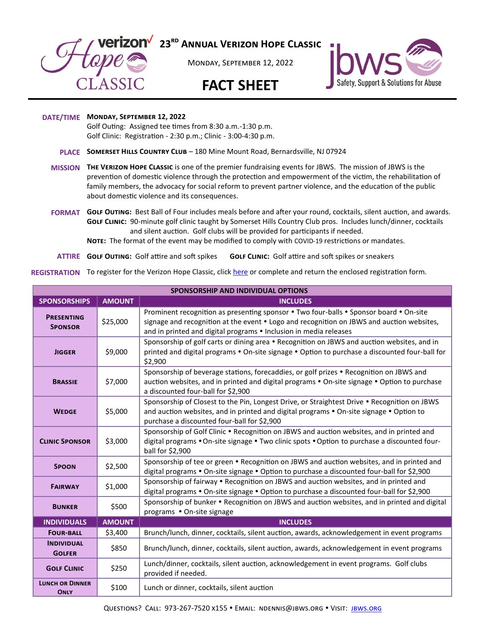

**23rd Annual Verizon Hope Classic**

Monday, September 12, 2022

## **FACT SHEET**



## **DATE/TIME Monday, September 12, 2022**

Golf Outing: Assigned tee times from 8:30 a.m.-1:30 p.m. Golf Clinic: Registration - 2:30 p.m.; Clinic - 3:00-4:30 p.m.

- **PLACE Somerset Hills Country Club**  180 Mine Mount Road, Bernardsville, NJ 07924
- **MISSION The Verizon Hope Classic** is one of the premier fundraising events for JBWS. The mission of JBWS is the prevention of domestic violence through the protection and empowerment of the victim, the rehabilitation of family members, the advocacy for social reform to prevent partner violence, and the education of the public about domestic violence and its consequences.
- **FORMAT Golf Outing:** Best Ball of Four includes meals before and after your round, cocktails, silent auction, and awards. **Golf Clinic:** 90-minute golf clinic taught by Somerset Hills Country Club pros. Includes lunch/dinner, cocktails and silent auction. Golf clubs will be provided for participants if needed.

**Note:** The format of the event may be modified to comply with COVID-19 restrictions or mandates.

**ATTIRE** GOLF OUTING: Golf attire and soft spikes **GOLF CLINIC:** Golf attire and soft spikes or sneakers

REGISTRATION To register for the Verizon Hope Classic, click <u>[here](https://jbws.org/event/23rd-annual-verizon-hope-classic/)</u> or complete and return the enclosed registration form.

| <b>SPONSORSHIP AND INDIVIDUAL OPTIONS</b> |               |                                                                                                                                                                                                                                                          |  |  |  |  |
|-------------------------------------------|---------------|----------------------------------------------------------------------------------------------------------------------------------------------------------------------------------------------------------------------------------------------------------|--|--|--|--|
| <b>SPONSORSHIPS</b>                       | <b>AMOUNT</b> | <b>INCLUDES</b>                                                                                                                                                                                                                                          |  |  |  |  |
| <b>PRESENTING</b><br><b>SPONSOR</b>       | \$25,000      | Prominent recognition as presenting sponsor . Two four-balls . Sponsor board . On-site<br>signage and recognition at the event • Logo and recognition on JBWS and auction websites,<br>and in printed and digital programs • Inclusion in media releases |  |  |  |  |
| <b>JIGGER</b>                             | \$9,000       | Sponsorship of golf carts or dining area • Recognition on JBWS and auction websites, and in<br>printed and digital programs • On-site signage • Option to purchase a discounted four-ball for<br>\$2,900                                                 |  |  |  |  |
| <b>BRASSIE</b>                            | \$7,000       | Sponsorship of beverage stations, forecaddies, or golf prizes . Recognition on JBWS and<br>auction websites, and in printed and digital programs • On-site signage • Option to purchase<br>a discounted four-ball for \$2,900                            |  |  |  |  |
| <b>WEDGE</b>                              | \$5,000       | Sponsorship of Closest to the Pin, Longest Drive, or Straightest Drive . Recognition on JBWS<br>and auction websites, and in printed and digital programs • On-site signage • Option to<br>purchase a discounted four-ball for \$2,900                   |  |  |  |  |
| <b>CLINIC SPONSOR</b>                     | \$3,000       | Sponsorship of Golf Clinic • Recognition on JBWS and auction websites, and in printed and<br>digital programs • On-site signage • Two clinic spots • Option to purchase a discounted four-<br>ball for \$2,900                                           |  |  |  |  |
| <b>SPOON</b>                              | \$2,500       | Sponsorship of tee or green • Recognition on JBWS and auction websites, and in printed and<br>digital programs • On-site signage • Option to purchase a discounted four-ball for \$2,900                                                                 |  |  |  |  |
| <b>FAIRWAY</b>                            | \$1,000       | Sponsorship of fairway • Recognition on JBWS and auction websites, and in printed and<br>digital programs • On-site signage • Option to purchase a discounted four-ball for \$2,900                                                                      |  |  |  |  |
| <b>BUNKER</b>                             | \$500         | Sponsorship of bunker • Recognition on JBWS and auction websites, and in printed and digital<br>programs • On-site signage                                                                                                                               |  |  |  |  |
| <b>INDIVIDUALS</b>                        | <b>AMOUNT</b> | <b>INCLUDES</b>                                                                                                                                                                                                                                          |  |  |  |  |
| <b>FOUR-BALL</b>                          | \$3,400       | Brunch/lunch, dinner, cocktails, silent auction, awards, acknowledgement in event programs                                                                                                                                                               |  |  |  |  |
| <b>INDIVIDUAL</b><br><b>GOLFER</b>        | \$850         | Brunch/lunch, dinner, cocktails, silent auction, awards, acknowledgement in event programs                                                                                                                                                               |  |  |  |  |
| <b>GOLF CLINIC</b>                        | \$250         | Lunch/dinner, cocktails, silent auction, acknowledgement in event programs. Golf clubs<br>provided if needed.                                                                                                                                            |  |  |  |  |
| <b>LUNCH OR DINNER</b><br><b>ONLY</b>     | \$100         | Lunch or dinner, cocktails, silent auction                                                                                                                                                                                                               |  |  |  |  |